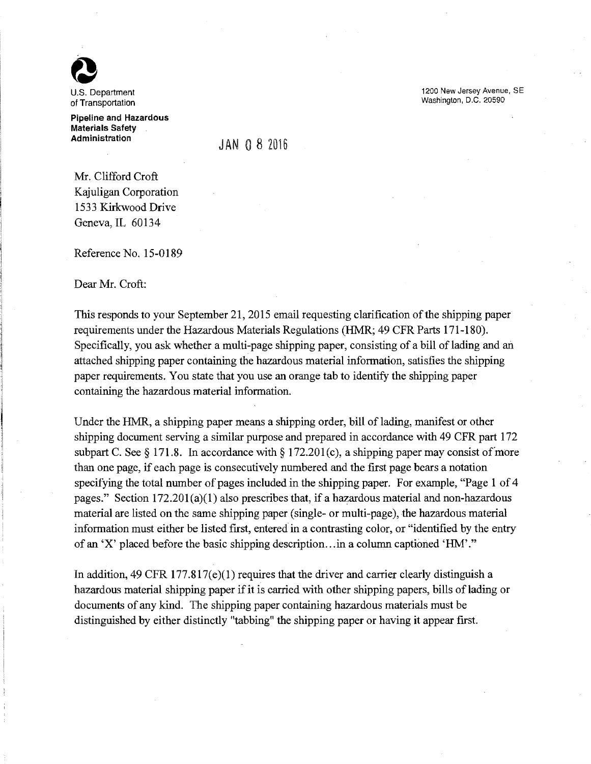

of Transportation

Pipeline and Hazardous Materials Safety **Administration** 

JAN 0 8 2016

Mr. Clifford Croft Kajuligan Corporation 1533 Kirkwood Drive Geneva, IL 60134

Reference No. 15-0189

Dear Mr. Croft:

This responds to your September 21, 2015 email requesting clarification of the shipping paper requirements under the Hazardous Materials Regulations (HMR; 49 CFR Parts 171-180). Specifically, you ask whether a multi-page shipping paper, consisting of a bill of lading and an attached shipping paper containing the hazardous material information, satisfies the shipping paper requirements. You state that you use an orange tab to identify the shipping paper containing the hazardous material information.

Under the HMR, a shipping paper means a shipping order, bill of lading, manifest or other shipping document serving a similar purpose and prepared in accordance with 49 CFR part 172 subpart C. See § 171.8. In accordance with § 172.201(c), a shipping paper may consist of more than one page, if each page is consecutively numbered and the first page bears a notation specifying the total number of pages included in the shipping paper. For example, "Page 1 of 4 pages." Section  $172.201(a)(1)$  also prescribes that, if a hazardous material and non-hazardous material are listed on the same shipping paper (single- or multi-page), the hazardous material information must either be listed first, entered in a contrasting color, or "identified by the entry of an 'X' placed before the basic shipping description .. .in a column captioned 'HM'.''

In addition, 49 CFR 177.817 $(e)(1)$  requires that the driver and carrier clearly distinguish a hazardous material shipping paper if it is carried with other shipping papers, bills of lading or documents of any kind. The shipping paper containing hazardous materials must be distinguished by either distinctly "tabbing" the shipping paper or having it appear first.

1200 New Jersey Avenue, SE Washington, D.C. 20590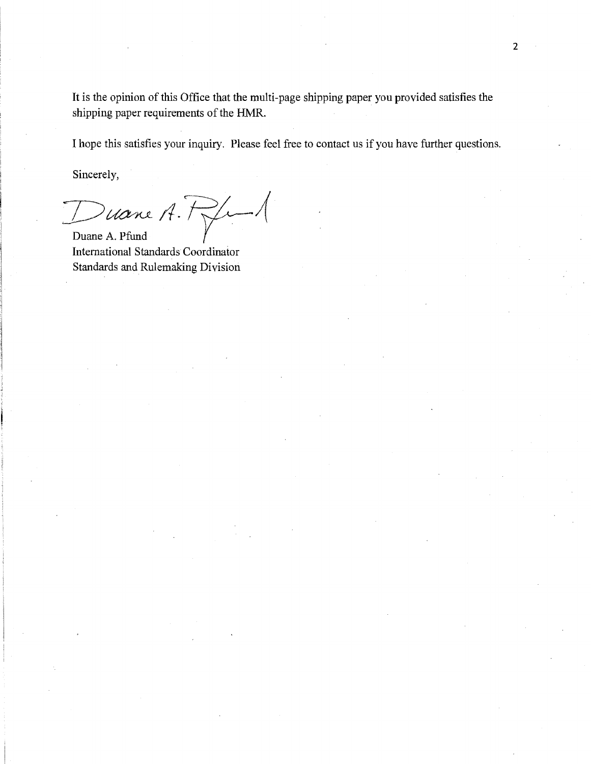It is the opinion of this Office that the multi-page shipping paper you provided satisfies the shipping paper requirements of the HMR.

I hope this satisfies your inquiry. Please feel free to contact us if you have further questions.

Sincerely,

Ducane A. Hype

International Standards Coordinator Standards and Rulemaking Division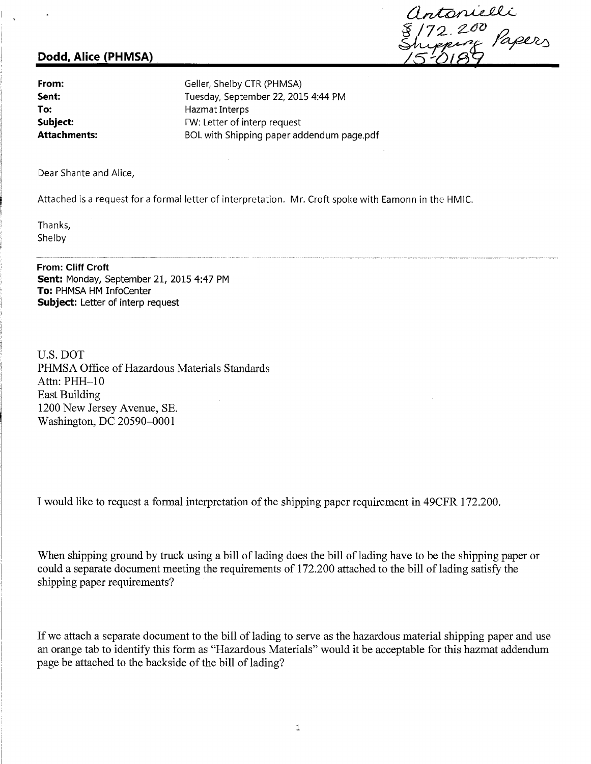# **Dodd, Alice (PHMSA)**

Intonielli<br>172.200<br>Lipping Papers

**From: Sent: To: Subject: Attachments:**  Geller, Shelby CTR (PHMSA) Tuesday, September 22, 2015 4:44 PM Hazmat Interps FW: Letter of interp request BOL with Shipping paper addendum page.pdf

Dear Shante and Alice,

Attached is a request for a formal letter of interpretation. Mr. Croft spoke with Eamonn in the HMIC.

Thanks, Shelby

## **From: Cliff Croft**

**Sent:** Monday, September 21, 2015 4:47 PM **To:** PHMSA HM lnfoCenter **Subject:** Letter of interp request

U.S. DOT PHMSA Office of Hazardous Materials Standards Attn: PHH-10 East Building 1200 New Jersey Avenue, SE. Washington, DC 20590-0001

I would like to request a formal interpretation of the shipping paper requirement in 49CFR 172.200.

When shipping ground by truck using a bill of lading does the bill of lading have to be the shipping paper or could a separate document meeting the requirements of 172.200 attached to the bill of lading satisfy the shipping paper requirements?

If we attach a separate document to the bill of lading to serve as the hazardous material shipping paper and use an orange tab to identify this form as "Hazardous Materials" would it be acceptable for this hazmat addendum page be attached to the backside of the bill of lading?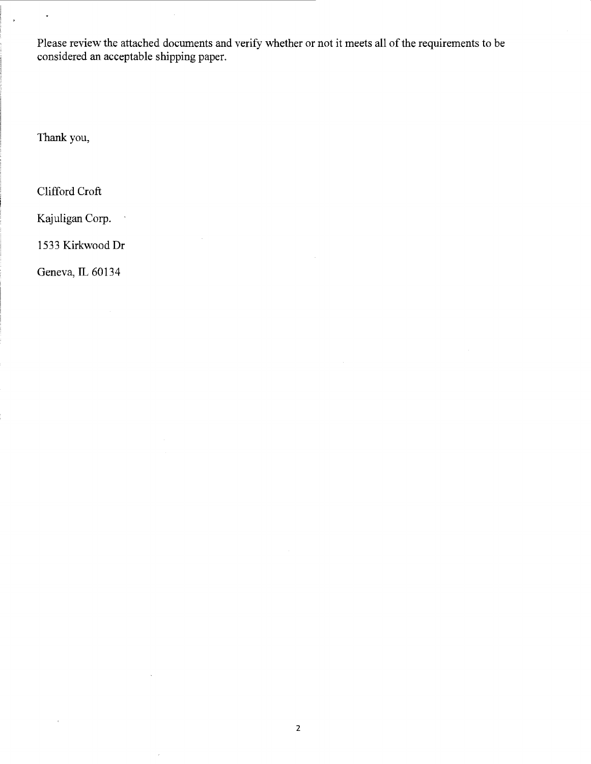Please review the attached documents and verify whether or not it meets all of the requirements to be considered an acceptable shipping paper.

Thank you,

 $\ddot{\phantom{0}}$ 

Clifford Croft

Kajuligan Corp.

 $\ddot{\phantom{0}}$ 

1533 Kirkwood Dr

Geneva, IL 60134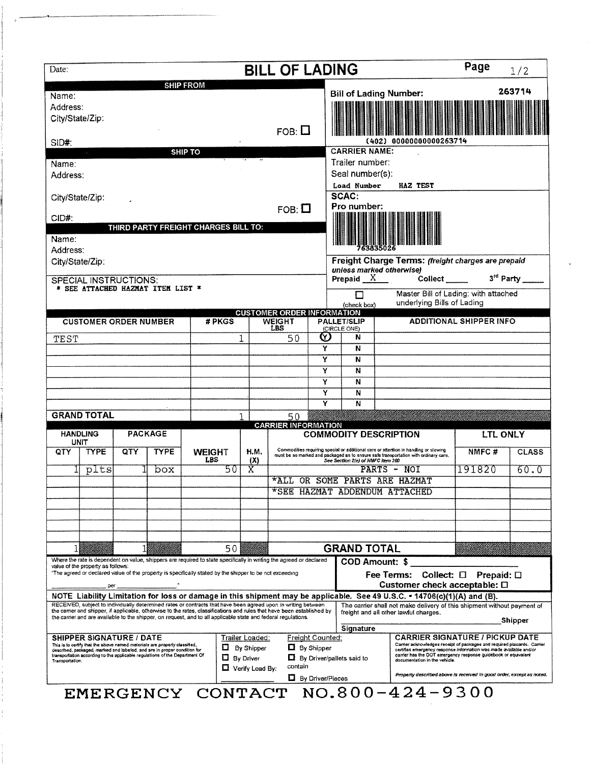| Date:                                                                                                                                        |             |                              |                                                                                                                                                                                                                                       |                      |                                                                                                                                                                                      |                       | <b>BILL OF LADING</b>                                                                                                                                                                                                                                                                                                                                      |                   |                                                                                        |                                                     | Page<br>1/2                   |                                                                                                                                                                                                                                                                                         |                                |              |  |
|----------------------------------------------------------------------------------------------------------------------------------------------|-------------|------------------------------|---------------------------------------------------------------------------------------------------------------------------------------------------------------------------------------------------------------------------------------|----------------------|--------------------------------------------------------------------------------------------------------------------------------------------------------------------------------------|-----------------------|------------------------------------------------------------------------------------------------------------------------------------------------------------------------------------------------------------------------------------------------------------------------------------------------------------------------------------------------------------|-------------------|----------------------------------------------------------------------------------------|-----------------------------------------------------|-------------------------------|-----------------------------------------------------------------------------------------------------------------------------------------------------------------------------------------------------------------------------------------------------------------------------------------|--------------------------------|--------------|--|
| Name:<br>Address:<br>City/State/Zip:                                                                                                         |             |                              |                                                                                                                                                                                                                                       | <b>SHIP FROM</b>     |                                                                                                                                                                                      |                       |                                                                                                                                                                                                                                                                                                                                                            |                   |                                                                                        | <b>Bill of Lading Number:</b>                       |                               |                                                                                                                                                                                                                                                                                         |                                | 263714       |  |
| SID#:                                                                                                                                        |             |                              |                                                                                                                                                                                                                                       | $FOB: \square$       |                                                                                                                                                                                      | 00000000000263714     |                                                                                                                                                                                                                                                                                                                                                            |                   |                                                                                        |                                                     |                               |                                                                                                                                                                                                                                                                                         |                                |              |  |
|                                                                                                                                              |             |                              |                                                                                                                                                                                                                                       | <b>SHIP TO</b>       |                                                                                                                                                                                      |                       |                                                                                                                                                                                                                                                                                                                                                            |                   |                                                                                        | <b>CARRIER NAME:</b>                                |                               |                                                                                                                                                                                                                                                                                         |                                |              |  |
| Name:                                                                                                                                        |             |                              |                                                                                                                                                                                                                                       |                      |                                                                                                                                                                                      |                       |                                                                                                                                                                                                                                                                                                                                                            |                   |                                                                                        | Trailer number:                                     |                               |                                                                                                                                                                                                                                                                                         |                                |              |  |
| Address:                                                                                                                                     |             |                              |                                                                                                                                                                                                                                       |                      |                                                                                                                                                                                      |                       |                                                                                                                                                                                                                                                                                                                                                            |                   | Seal number(s):<br>Load Number<br>HAZ TEST<br>SCAC:                                    |                                                     |                               |                                                                                                                                                                                                                                                                                         |                                |              |  |
| City/State/Zip:<br>CID#:                                                                                                                     |             |                              |                                                                                                                                                                                                                                       |                      |                                                                                                                                                                                      |                       | $FOB: \square$                                                                                                                                                                                                                                                                                                                                             |                   |                                                                                        | Pro number:                                         |                               |                                                                                                                                                                                                                                                                                         |                                |              |  |
|                                                                                                                                              |             |                              | THIRD PARTY FREIGHT CHARGES BILL TO:                                                                                                                                                                                                  |                      |                                                                                                                                                                                      |                       |                                                                                                                                                                                                                                                                                                                                                            |                   |                                                                                        |                                                     |                               |                                                                                                                                                                                                                                                                                         |                                |              |  |
| Name:<br>Address:                                                                                                                            |             |                              |                                                                                                                                                                                                                                       |                      |                                                                                                                                                                                      |                       |                                                                                                                                                                                                                                                                                                                                                            |                   |                                                                                        |                                                     |                               |                                                                                                                                                                                                                                                                                         |                                |              |  |
| City/State/Zip:                                                                                                                              |             |                              |                                                                                                                                                                                                                                       |                      |                                                                                                                                                                                      |                       |                                                                                                                                                                                                                                                                                                                                                            |                   | Freight Charge Terms: (freight charges are prepaid<br>unless marked otherwise)         |                                                     |                               |                                                                                                                                                                                                                                                                                         |                                |              |  |
| <b>SPECIAL INSTRUCTIONS:</b>                                                                                                                 |             |                              |                                                                                                                                                                                                                                       |                      |                                                                                                                                                                                      |                       |                                                                                                                                                                                                                                                                                                                                                            |                   |                                                                                        | Prepaid $X$                                         |                               | Collect                                                                                                                                                                                                                                                                                 | 3rd Party                      |              |  |
| * SEE ATTACHED HAZMAT ITEM LIST *                                                                                                            |             |                              |                                                                                                                                                                                                                                       |                      |                                                                                                                                                                                      |                       |                                                                                                                                                                                                                                                                                                                                                            |                   | Master Bill of Lading: with attached<br>П<br>underlying Bills of Lading<br>(check box) |                                                     |                               |                                                                                                                                                                                                                                                                                         |                                |              |  |
|                                                                                                                                              |             | <b>CUSTOMER ORDER NUMBER</b> |                                                                                                                                                                                                                                       |                      | # PKGS                                                                                                                                                                               |                       | <b>CUSTOMER ORDER INFORMATION</b><br><b>WEIGHT</b>                                                                                                                                                                                                                                                                                                         |                   |                                                                                        | <b>PALLET/SLIP</b>                                  |                               |                                                                                                                                                                                                                                                                                         | <b>ADDITIONAL SHIPPER INFO</b> |              |  |
| TEST                                                                                                                                         |             |                              |                                                                                                                                                                                                                                       |                      | LBS<br>50                                                                                                                                                                            | ♡                     |                                                                                                                                                                                                                                                                                                                                                            | (CIRCLE ONE)<br>Ν |                                                                                        |                                                     |                               |                                                                                                                                                                                                                                                                                         |                                |              |  |
|                                                                                                                                              |             |                              |                                                                                                                                                                                                                                       |                      |                                                                                                                                                                                      | Y                     |                                                                                                                                                                                                                                                                                                                                                            |                   |                                                                                        | N                                                   |                               |                                                                                                                                                                                                                                                                                         |                                |              |  |
|                                                                                                                                              |             |                              |                                                                                                                                                                                                                                       |                      |                                                                                                                                                                                      | Ÿ                     |                                                                                                                                                                                                                                                                                                                                                            |                   |                                                                                        | N<br>N                                              |                               |                                                                                                                                                                                                                                                                                         |                                |              |  |
|                                                                                                                                              |             |                              |                                                                                                                                                                                                                                       |                      |                                                                                                                                                                                      |                       |                                                                                                                                                                                                                                                                                                                                                            | Y<br>Ÿ            |                                                                                        | N                                                   |                               |                                                                                                                                                                                                                                                                                         |                                |              |  |
|                                                                                                                                              |             |                              |                                                                                                                                                                                                                                       |                      |                                                                                                                                                                                      |                       | Ÿ<br>N                                                                                                                                                                                                                                                                                                                                                     |                   |                                                                                        |                                                     |                               |                                                                                                                                                                                                                                                                                         |                                |              |  |
| <b>GRAND TOTAL</b>                                                                                                                           |             |                              |                                                                                                                                                                                                                                       |                      |                                                                                                                                                                                      |                       |                                                                                                                                                                                                                                                                                                                                                            | Y                 |                                                                                        | N                                                   |                               |                                                                                                                                                                                                                                                                                         |                                |              |  |
|                                                                                                                                              |             |                              |                                                                                                                                                                                                                                       |                      |                                                                                                                                                                                      |                       | 50<br><b>CARRIER INFORMATION</b>                                                                                                                                                                                                                                                                                                                           |                   |                                                                                        |                                                     |                               |                                                                                                                                                                                                                                                                                         |                                |              |  |
| <b>PACKAGE</b><br><b>HANDLING</b><br><b>UNIT</b>                                                                                             |             |                              |                                                                                                                                                                                                                                       |                      |                                                                                                                                                                                      |                       |                                                                                                                                                                                                                                                                                                                                                            |                   | <b>COMMODITY DESCRIPTION</b>                                                           |                                                     |                               |                                                                                                                                                                                                                                                                                         | <b>LTL ONLY</b>                |              |  |
| QTY                                                                                                                                          | <b>TYPE</b> | QTY                          | <b>TYPE</b>                                                                                                                                                                                                                           | <b>WEIGHT</b><br>LBS |                                                                                                                                                                                      | H.M.<br>(X)           |                                                                                                                                                                                                                                                                                                                                                            |                   |                                                                                        | See Section 2(e) of NMFC Item 360                   |                               | Commodities requiring special or additional care or attention in handling or stowing<br>must be so marked and packaged as to ensure safe transportation with ordinary care.                                                                                                             | NMFC#                          | <b>CLASS</b> |  |
|                                                                                                                                              | plts        |                              | box                                                                                                                                                                                                                                   |                      | 50                                                                                                                                                                                   | $\overline{\text{X}}$ |                                                                                                                                                                                                                                                                                                                                                            |                   | PARTS - NOI<br>*ALL OR SOME PARTS ARE HAZMAT                                           |                                                     |                               |                                                                                                                                                                                                                                                                                         | 191820                         | 60.0         |  |
|                                                                                                                                              |             |                              |                                                                                                                                                                                                                                       |                      |                                                                                                                                                                                      |                       |                                                                                                                                                                                                                                                                                                                                                            |                   |                                                                                        |                                                     |                               | *SEE HAZMAT ADDENDUM ATTACHED                                                                                                                                                                                                                                                           |                                |              |  |
|                                                                                                                                              |             |                              |                                                                                                                                                                                                                                       |                      |                                                                                                                                                                                      |                       |                                                                                                                                                                                                                                                                                                                                                            |                   |                                                                                        |                                                     |                               |                                                                                                                                                                                                                                                                                         |                                |              |  |
|                                                                                                                                              |             |                              |                                                                                                                                                                                                                                       |                      |                                                                                                                                                                                      |                       |                                                                                                                                                                                                                                                                                                                                                            |                   |                                                                                        |                                                     |                               |                                                                                                                                                                                                                                                                                         |                                |              |  |
|                                                                                                                                              |             |                              |                                                                                                                                                                                                                                       |                      |                                                                                                                                                                                      |                       |                                                                                                                                                                                                                                                                                                                                                            |                   |                                                                                        |                                                     |                               |                                                                                                                                                                                                                                                                                         |                                |              |  |
|                                                                                                                                              | 50          |                              |                                                                                                                                                                                                                                       |                      |                                                                                                                                                                                      |                       |                                                                                                                                                                                                                                                                                                                                                            |                   | <b>GRAND TOTAL</b>                                                                     |                                                     |                               |                                                                                                                                                                                                                                                                                         |                                |              |  |
|                                                                                                                                              |             |                              |                                                                                                                                                                                                                                       |                      |                                                                                                                                                                                      |                       | Where the rate is dependent on value, shippers are required to state specifically in writing the agreed or declared                                                                                                                                                                                                                                        |                   | COD Amount: \$                                                                         |                                                     |                               |                                                                                                                                                                                                                                                                                         |                                |              |  |
| value of the property as follows:<br>"The agreed or declared value of the property is specifically stated by the shipper to be not exceeding |             |                              |                                                                                                                                                                                                                                       |                      |                                                                                                                                                                                      |                       |                                                                                                                                                                                                                                                                                                                                                            |                   | Fee Terms: Collect: 0 Prepaid: 0<br>Customer check acceptable: □                       |                                                     |                               |                                                                                                                                                                                                                                                                                         |                                |              |  |
|                                                                                                                                              |             | per                          |                                                                                                                                                                                                                                       |                      |                                                                                                                                                                                      |                       |                                                                                                                                                                                                                                                                                                                                                            |                   |                                                                                        |                                                     |                               | NOTE Liability Limitation for loss or damage in this shipment may be applicable. See 49 U.S.C. - 14706(c)(1)(A) and (B).                                                                                                                                                                |                                |              |  |
|                                                                                                                                              |             |                              |                                                                                                                                                                                                                                       |                      |                                                                                                                                                                                      |                       | RECEIVED, subject to individually determined rates or contracts that have been agreed upon in writing between<br>the carrier and shipper, if applicable, otherwise to the rates, classifications and rules that have been established by<br>the carrier and are available to the shipper, on request, and to all applicable state and federal regulations, |                   |                                                                                        |                                                     |                               | The carrier shall not make delivery of this shipment without payment of<br>freight and all other lawful charges.                                                                                                                                                                        |                                | Shipper      |  |
| <b>SHIPPER SIGNATURE / DATE</b><br>Trailer Loaded:                                                                                           |             |                              |                                                                                                                                                                                                                                       |                      |                                                                                                                                                                                      |                       |                                                                                                                                                                                                                                                                                                                                                            |                   |                                                                                        | Signature<br><b>CARRIER SIGNATURE / PICKUP DATE</b> |                               |                                                                                                                                                                                                                                                                                         |                                |              |  |
| Transportation.                                                                                                                              |             |                              | This is to certify that the above named materials are properly classified,<br>described, packaged, marked and labeled, and are in proper condition for<br>transportation according to the applicable regulations of the Department Of |                      | Freight Counted:<br>$\Box$ By Shipper<br>$\Box$ By Shipper<br>$\Box$ By Driver<br>$\Box$ By Driver/pallets said to<br>contain<br>$\Box$ Verify Load By:<br><b>L</b> By Driver/Pieces |                       |                                                                                                                                                                                                                                                                                                                                                            |                   |                                                                                        |                                                     | documentation in the vehicle. | Carrier acknowledges receipt of packages and required placards. Carrier<br>certifies emergency response information was made available and/or<br>carrier has the DOT emergency response guidebook or equivalent<br>Property described above is received in good order, except as noted. |                                |              |  |
|                                                                                                                                              |             |                              | EMERGENCY CONTACT                                                                                                                                                                                                                     |                      |                                                                                                                                                                                      |                       |                                                                                                                                                                                                                                                                                                                                                            |                   |                                                                                        |                                                     |                               | $NO.800 - 424 - 9300$                                                                                                                                                                                                                                                                   |                                |              |  |